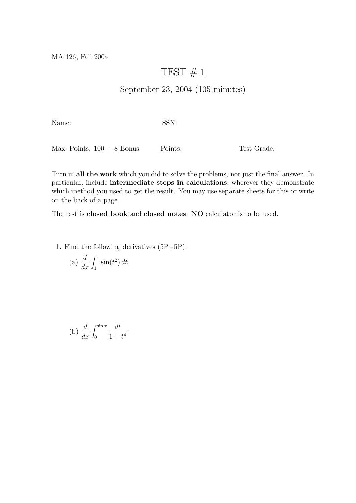MA 126, Fall 2004

## TEST  $# 1$

## September 23, 2004 (105 minutes)

Name: SSN:

Max. Points:  $100 + 8$  Bonus Points: Test Grade:

Turn in all the work which you did to solve the problems, not just the final answer. In particular, include intermediate steps in calculations, wherever they demonstrate which method you used to get the result. You may use separate sheets for this or write on the back of a page.

The test is closed book and closed notes. NO calculator is to be used.

1. Find the following derivatives (5P+5P):

(a) 
$$
\frac{d}{dx} \int_1^x \sin(t^2) dt
$$

(b) 
$$
\frac{d}{dx} \int_0^{\sin x} \frac{dt}{1 + t^4}
$$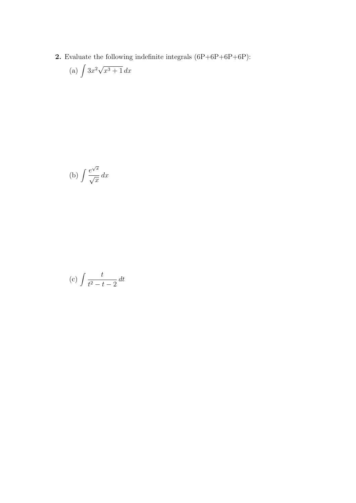**2.** Evaluate the following indefinite integrals  $(6P+6P+6P+6P)$ :

(a) 
$$
\int 3x^2 \sqrt{x^3 + 1} \, dx
$$

(b) 
$$
\int \frac{e^{\sqrt{x}}}{\sqrt{x}} dx
$$

(c) 
$$
\int \frac{t}{t^2 - t - 2} dt
$$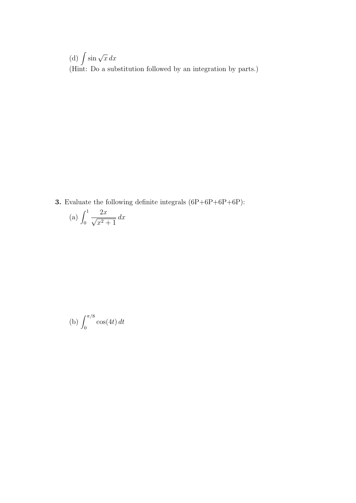(d)  $\int \sin \sqrt{x} \, dx$ (Hint: Do a substitution followed by an integration by parts.)

**3.** Evaluate the following definite integrals  $(6P+6P+6P+6P)$ :

(a) 
$$
\int_0^1 \frac{2x}{\sqrt{x^2 + 1}} dx
$$

(b) 
$$
\int_0^{\pi/8} \cos(4t) dt
$$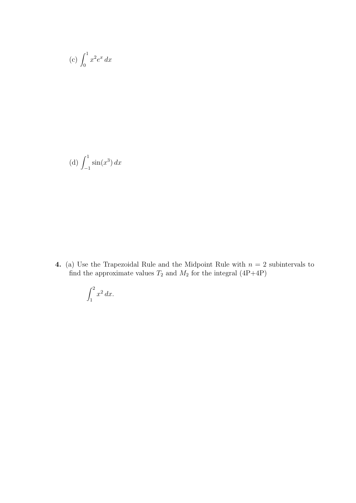$$
(c) \int_0^1 x^2 e^x dx
$$

(d) 
$$
\int_{-1}^{1} \sin(x^3) dx
$$

4. (a) Use the Trapezoidal Rule and the Midpoint Rule with  $n = 2$  subintervals to find the approximate values  $T_2$  and  $M_2$  for the integral (4P+4P)

$$
\int_1^2 x^2 \, dx.
$$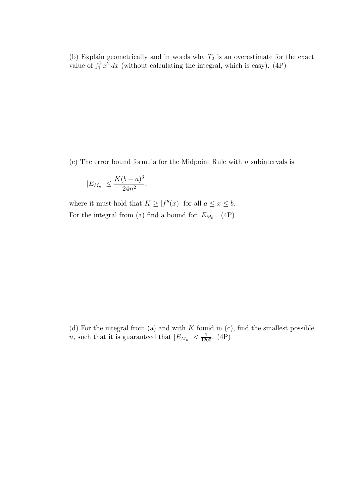(b) Explain geometrically and in words why  $T_2$  is an overestimate for the exact value of  $\int_1^2 x^2 dx$  (without calculating the integral, which is easy). (4P)

(c) The error bound formula for the Midpoint Rule with  $n$  subintervals is

$$
|E_{M_n}| \le \frac{K(b-a)^3}{24n^2},
$$

where it must hold that  $K \geq |f''(x)|$  for all  $a \leq x \leq b$ . For the integral from (a) find a bound for  $|E_{M_5}|$ . (4P)

(d) For the integral from (a) and with  $K$  found in (c), find the smallest possible *n*, such that it is guaranteed that  $|E_{M_n}| < \frac{1}{1200}$ . (4P)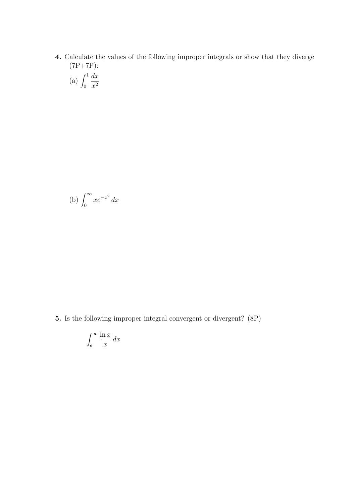4. Calculate the values of the following improper integrals or show that they diverge (7P+7P):

(a) 
$$
\int_0^1 \frac{dx}{x^2}
$$

(b) 
$$
\int_0^\infty x e^{-x^2} \, dx
$$

5. Is the following improper integral convergent or divergent? (8P)

$$
\int_{e}^{\infty} \frac{\ln x}{x} \, dx
$$